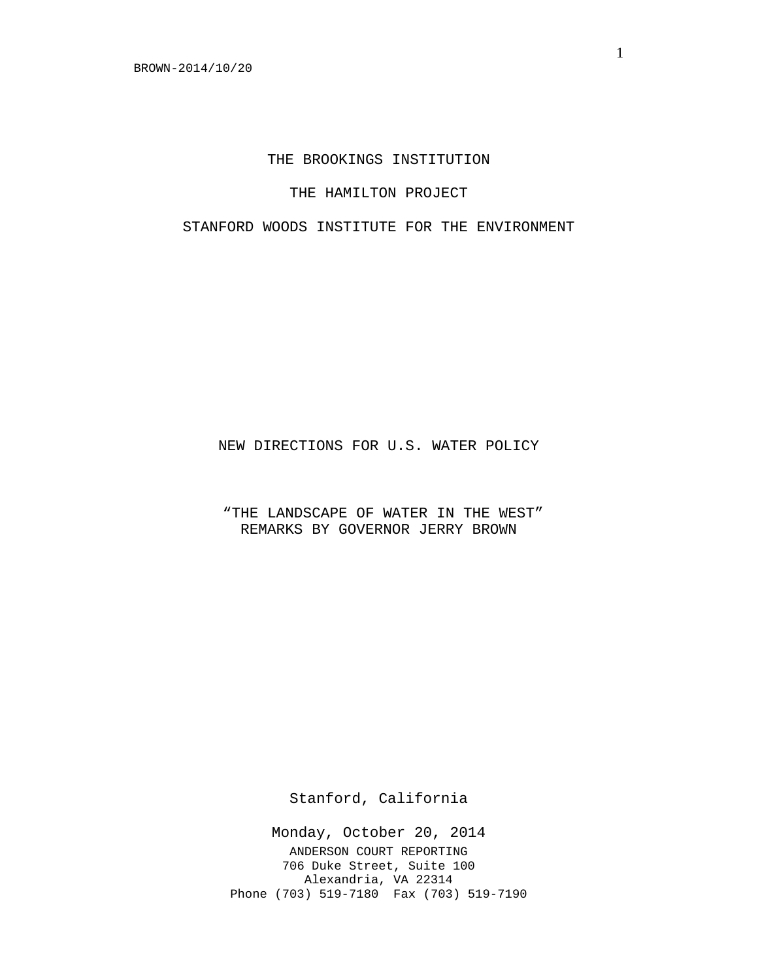# THE BROOKINGS INSTITUTION

### THE HAMILTON PROJECT

# STANFORD WOODS INSTITUTE FOR THE ENVIRONMENT

NEW DIRECTIONS FOR U.S. WATER POLICY

"THE LANDSCAPE OF WATER IN THE WEST" REMARKS BY GOVERNOR JERRY BROWN

Stanford, California

Monday, October 20, 2014 ANDERSON COURT REPORTING 706 Duke Street, Suite 100 Alexandria, VA 22314 Phone (703) 519-7180 Fax (703) 519-7190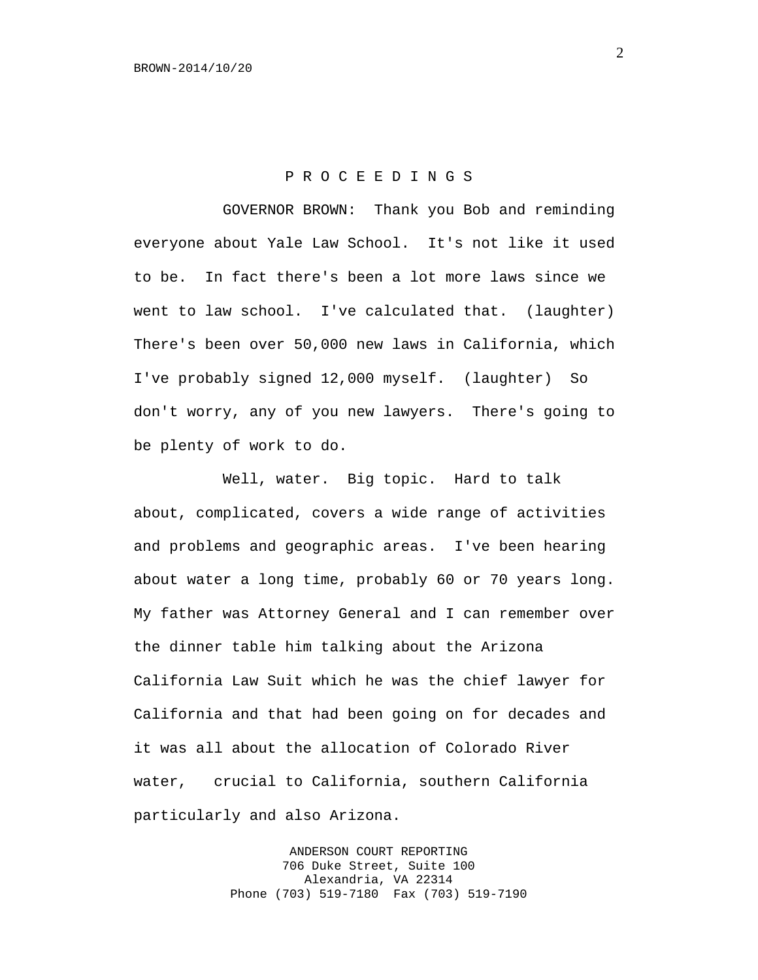#### P R O C E E D I N G S

GOVERNOR BROWN: Thank you Bob and reminding everyone about Yale Law School. It's not like it used to be. In fact there's been a lot more laws since we went to law school. I've calculated that. (laughter) There's been over 50,000 new laws in California, which I've probably signed 12,000 myself. (laughter) So don't worry, any of you new lawyers. There's going to be plenty of work to do.

Well, water. Big topic. Hard to talk about, complicated, covers a wide range of activities and problems and geographic areas. I've been hearing about water a long time, probably 60 or 70 years long. My father was Attorney General and I can remember over the dinner table him talking about the Arizona California Law Suit which he was the chief lawyer for California and that had been going on for decades and it was all about the allocation of Colorado River water, crucial to California, southern California particularly and also Arizona.

> ANDERSON COURT REPORTING 706 Duke Street, Suite 100 Alexandria, VA 22314 Phone (703) 519-7180 Fax (703) 519-7190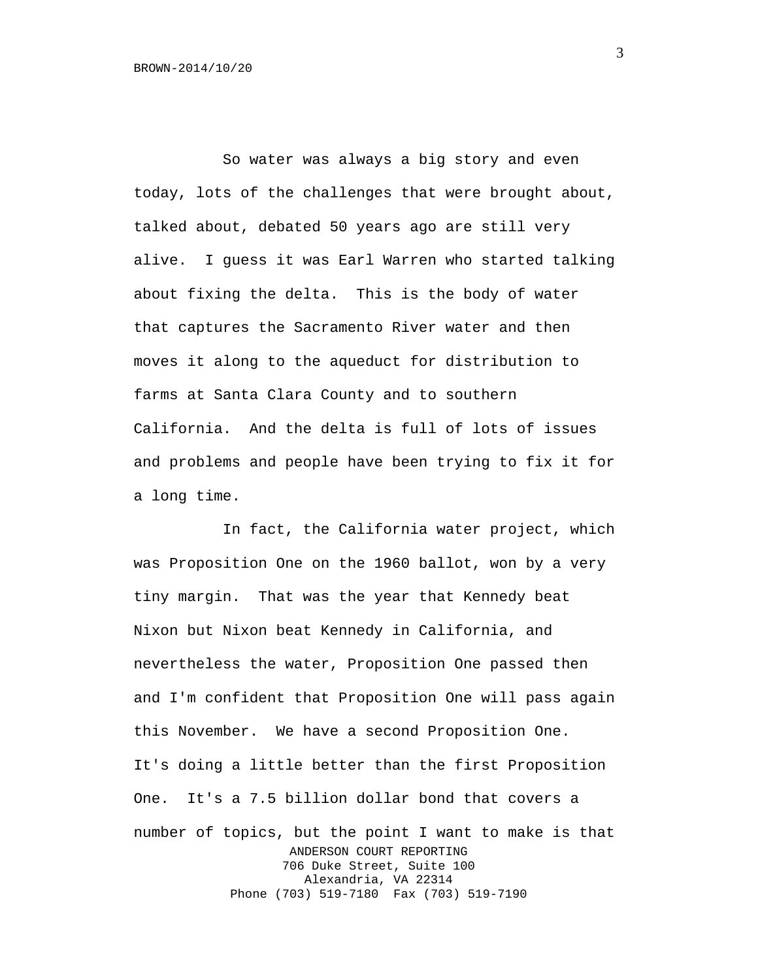So water was always a big story and even today, lots of the challenges that were brought about, talked about, debated 50 years ago are still very alive. I guess it was Earl Warren who started talking about fixing the delta. This is the body of water that captures the Sacramento River water and then moves it along to the aqueduct for distribution to farms at Santa Clara County and to southern California. And the delta is full of lots of issues and problems and people have been trying to fix it for a long time.

In fact, the California water project, which was Proposition One on the 1960 ballot, won by a very tiny margin. That was the year that Kennedy beat Nixon but Nixon beat Kennedy in California, and nevertheless the water, Proposition One passed then and I'm confident that Proposition One will pass again this November. We have a second Proposition One. It's doing a little better than the first Proposition One. It's a 7.5 billion dollar bond that covers a number of topics, but the point I want to make is that ANDERSON COURT REPORTING 706 Duke Street, Suite 100 Alexandria, VA 22314 Phone (703) 519-7180 Fax (703) 519-7190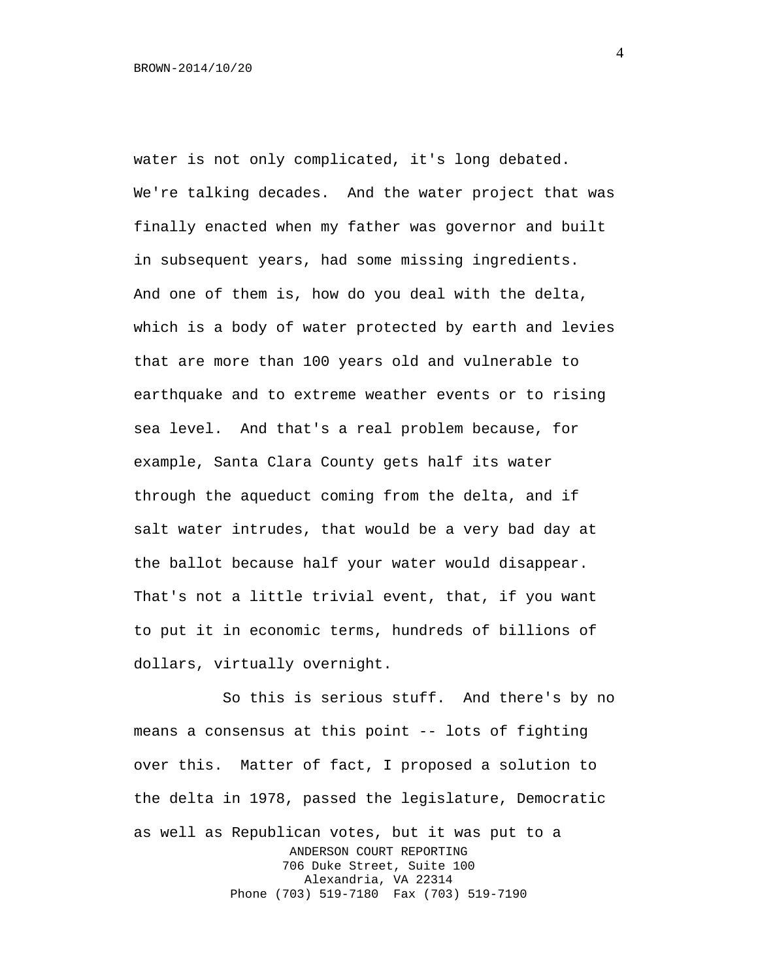water is not only complicated, it's long debated. We're talking decades. And the water project that was finally enacted when my father was governor and built in subsequent years, had some missing ingredients. And one of them is, how do you deal with the delta, which is a body of water protected by earth and levies that are more than 100 years old and vulnerable to earthquake and to extreme weather events or to rising sea level. And that's a real problem because, for example, Santa Clara County gets half its water through the aqueduct coming from the delta, and if salt water intrudes, that would be a very bad day at the ballot because half your water would disappear. That's not a little trivial event, that, if you want to put it in economic terms, hundreds of billions of dollars, virtually overnight.

So this is serious stuff. And there's by no means a consensus at this point -- lots of fighting over this. Matter of fact, I proposed a solution to the delta in 1978, passed the legislature, Democratic as well as Republican votes, but it was put to a ANDERSON COURT REPORTING 706 Duke Street, Suite 100 Alexandria, VA 22314 Phone (703) 519-7180 Fax (703) 519-7190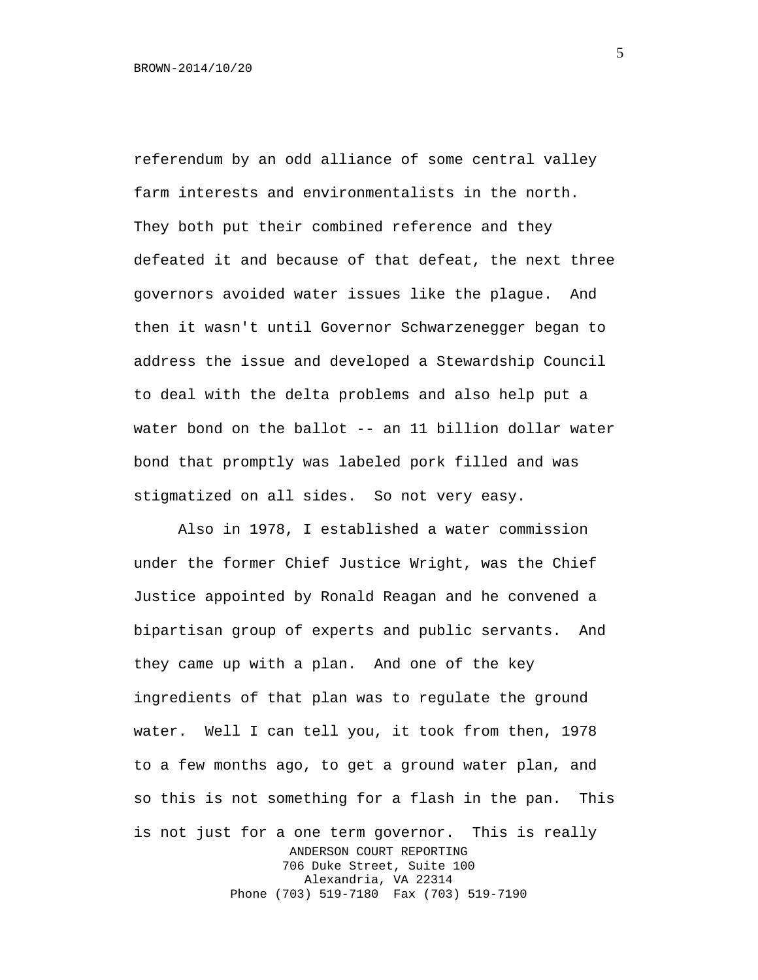referendum by an odd alliance of some central valley farm interests and environmentalists in the north. They both put their combined reference and they defeated it and because of that defeat, the next three governors avoided water issues like the plague. And then it wasn't until Governor Schwarzenegger began to address the issue and developed a Stewardship Council to deal with the delta problems and also help put a water bond on the ballot -- an 11 billion dollar water bond that promptly was labeled pork filled and was stigmatized on all sides. So not very easy.

Also in 1978, I established a water commission under the former Chief Justice Wright, was the Chief Justice appointed by Ronald Reagan and he convened a bipartisan group of experts and public servants. And they came up with a plan. And one of the key ingredients of that plan was to regulate the ground water. Well I can tell you, it took from then, 1978 to a few months ago, to get a ground water plan, and so this is not something for a flash in the pan. This is not just for a one term governor. This is really ANDERSON COURT REPORTING 706 Duke Street, Suite 100 Alexandria, VA 22314 Phone (703) 519-7180 Fax (703) 519-7190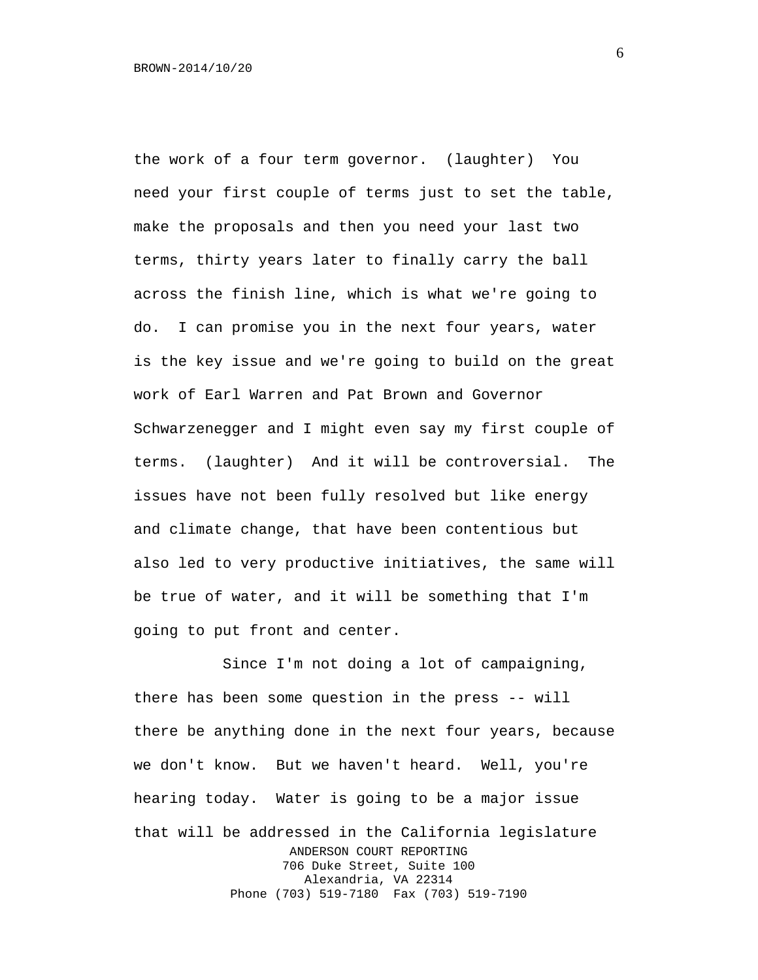the work of a four term governor. (laughter) You need your first couple of terms just to set the table, make the proposals and then you need your last two terms, thirty years later to finally carry the ball across the finish line, which is what we're going to do. I can promise you in the next four years, water is the key issue and we're going to build on the great work of Earl Warren and Pat Brown and Governor Schwarzenegger and I might even say my first couple of terms. (laughter) And it will be controversial. The issues have not been fully resolved but like energy and climate change, that have been contentious but also led to very productive initiatives, the same will be true of water, and it will be something that I'm going to put front and center.

Since I'm not doing a lot of campaigning, there has been some question in the press -- will there be anything done in the next four years, because we don't know. But we haven't heard. Well, you're hearing today. Water is going to be a major issue that will be addressed in the California legislature ANDERSON COURT REPORTING 706 Duke Street, Suite 100 Alexandria, VA 22314 Phone (703) 519-7180 Fax (703) 519-7190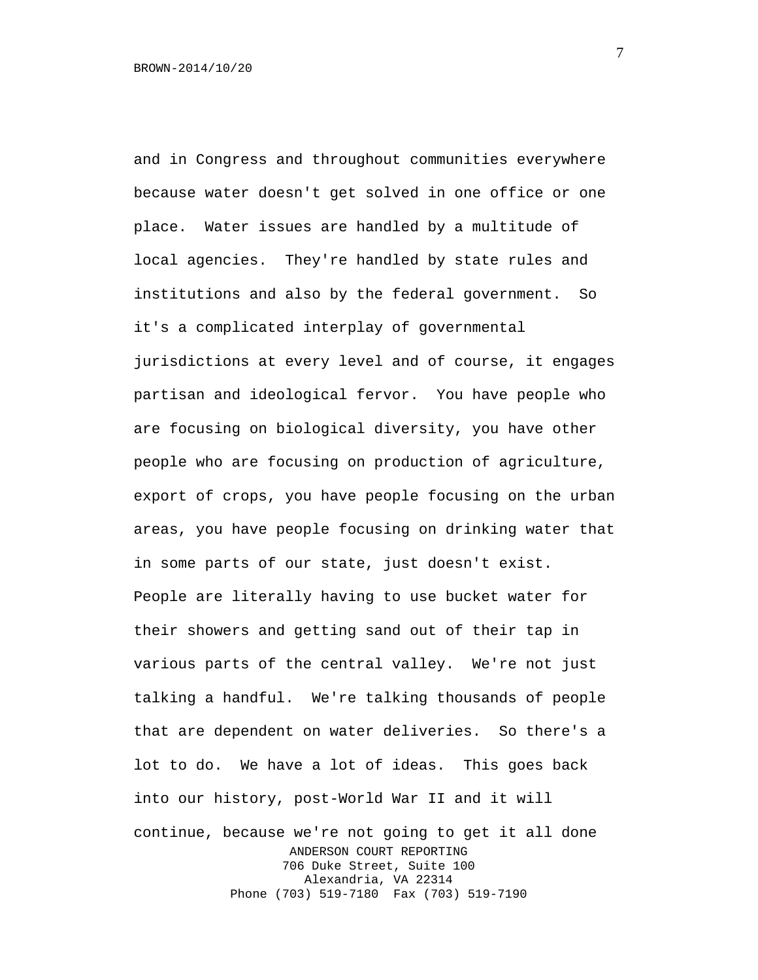and in Congress and throughout communities everywhere because water doesn't get solved in one office or one place. Water issues are handled by a multitude of local agencies. They're handled by state rules and institutions and also by the federal government. So it's a complicated interplay of governmental jurisdictions at every level and of course, it engages partisan and ideological fervor. You have people who are focusing on biological diversity, you have other people who are focusing on production of agriculture, export of crops, you have people focusing on the urban areas, you have people focusing on drinking water that in some parts of our state, just doesn't exist. People are literally having to use bucket water for their showers and getting sand out of their tap in various parts of the central valley. We're not just talking a handful. We're talking thousands of people that are dependent on water deliveries. So there's a lot to do. We have a lot of ideas. This goes back into our history, post-World War II and it will continue, because we're not going to get it all done ANDERSON COURT REPORTING 706 Duke Street, Suite 100 Alexandria, VA 22314 Phone (703) 519-7180 Fax (703) 519-7190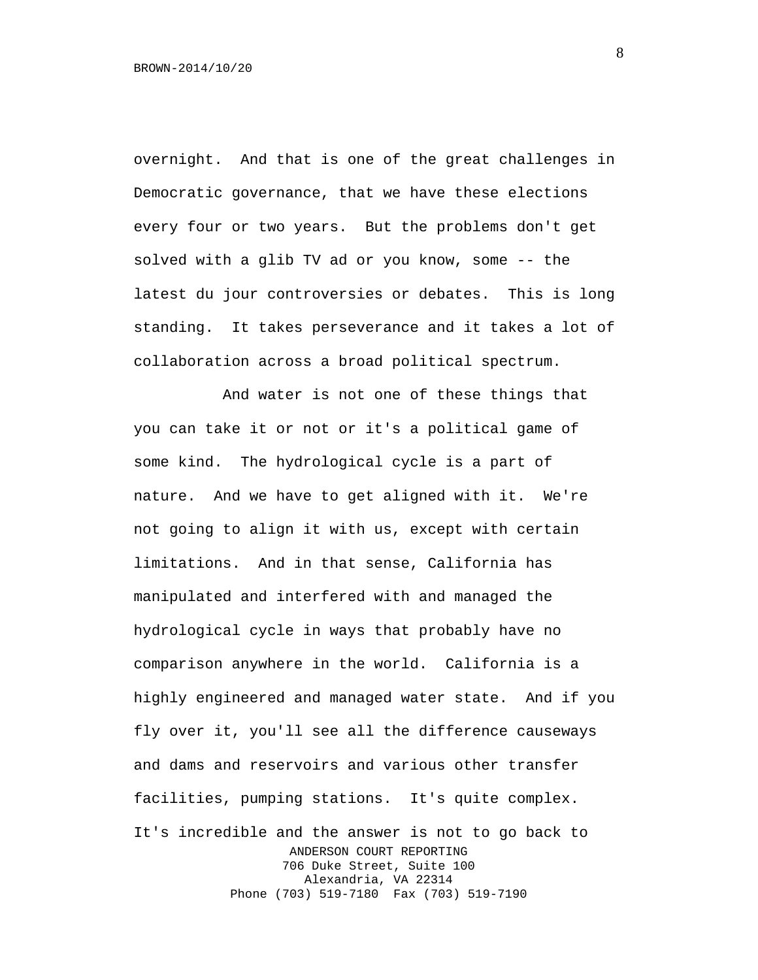overnight. And that is one of the great challenges in Democratic governance, that we have these elections every four or two years. But the problems don't get solved with a glib TV ad or you know, some -- the latest du jour controversies or debates. This is long standing. It takes perseverance and it takes a lot of collaboration across a broad political spectrum.

And water is not one of these things that you can take it or not or it's a political game of some kind. The hydrological cycle is a part of nature. And we have to get aligned with it. We're not going to align it with us, except with certain limitations. And in that sense, California has manipulated and interfered with and managed the hydrological cycle in ways that probably have no comparison anywhere in the world. California is a highly engineered and managed water state. And if you fly over it, you'll see all the difference causeways and dams and reservoirs and various other transfer facilities, pumping stations. It's quite complex. It's incredible and the answer is not to go back to ANDERSON COURT REPORTING 706 Duke Street, Suite 100 Alexandria, VA 22314 Phone (703) 519-7180 Fax (703) 519-7190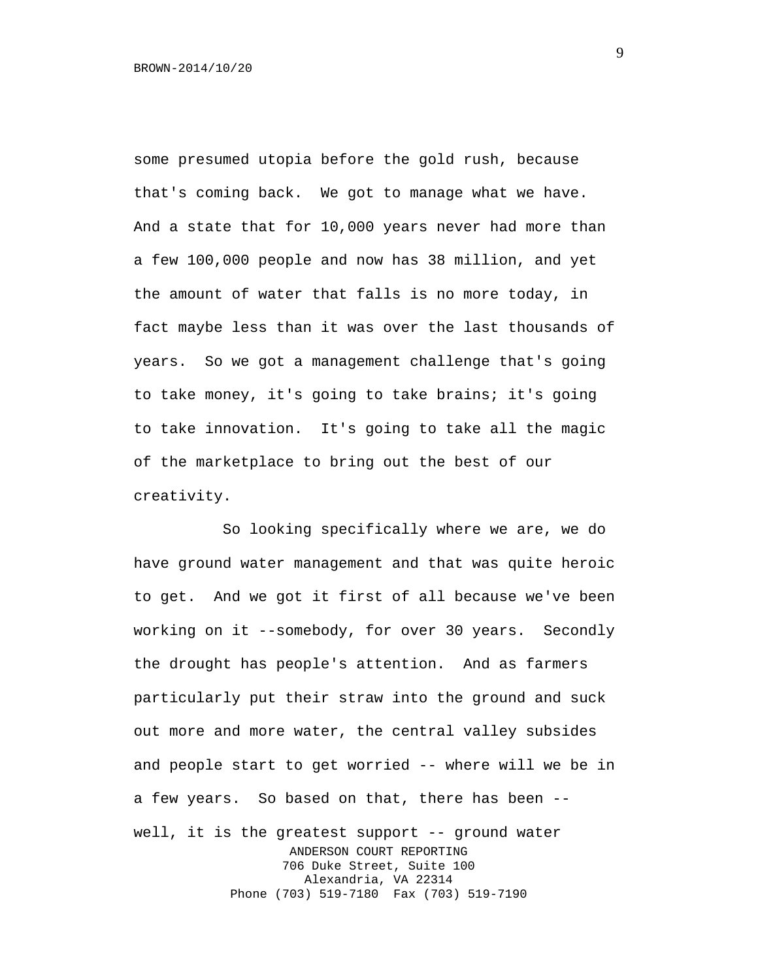some presumed utopia before the gold rush, because that's coming back. We got to manage what we have. And a state that for 10,000 years never had more than a few 100,000 people and now has 38 million, and yet the amount of water that falls is no more today, in fact maybe less than it was over the last thousands of years. So we got a management challenge that's going to take money, it's going to take brains; it's going to take innovation. It's going to take all the magic of the marketplace to bring out the best of our creativity.

So looking specifically where we are, we do have ground water management and that was quite heroic to get. And we got it first of all because we've been working on it --somebody, for over 30 years. Secondly the drought has people's attention. And as farmers particularly put their straw into the ground and suck out more and more water, the central valley subsides and people start to get worried -- where will we be in a few years. So based on that, there has been - well, it is the greatest support -- ground water ANDERSON COURT REPORTING 706 Duke Street, Suite 100 Alexandria, VA 22314 Phone (703) 519-7180 Fax (703) 519-7190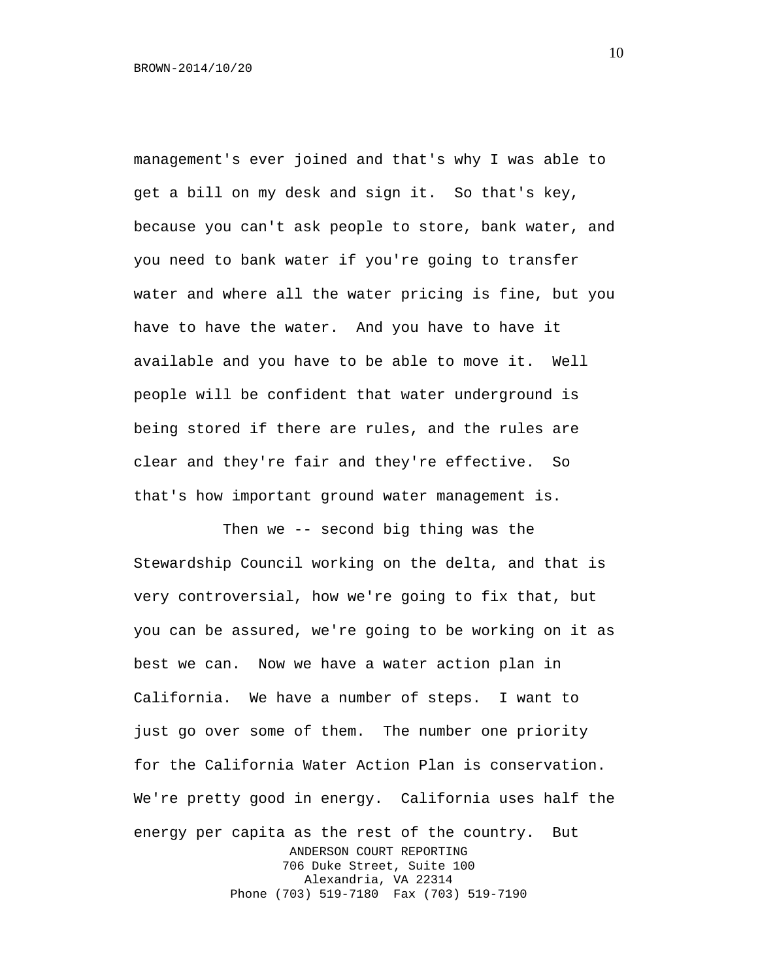management's ever joined and that's why I was able to get a bill on my desk and sign it. So that's key, because you can't ask people to store, bank water, and you need to bank water if you're going to transfer water and where all the water pricing is fine, but you have to have the water. And you have to have it available and you have to be able to move it. Well people will be confident that water underground is being stored if there are rules, and the rules are clear and they're fair and they're effective. So that's how important ground water management is.

Then we -- second big thing was the Stewardship Council working on the delta, and that is very controversial, how we're going to fix that, but you can be assured, we're going to be working on it as best we can. Now we have a water action plan in California. We have a number of steps. I want to just go over some of them. The number one priority for the California Water Action Plan is conservation. We're pretty good in energy. California uses half the energy per capita as the rest of the country. But ANDERSON COURT REPORTING 706 Duke Street, Suite 100 Alexandria, VA 22314 Phone (703) 519-7180 Fax (703) 519-7190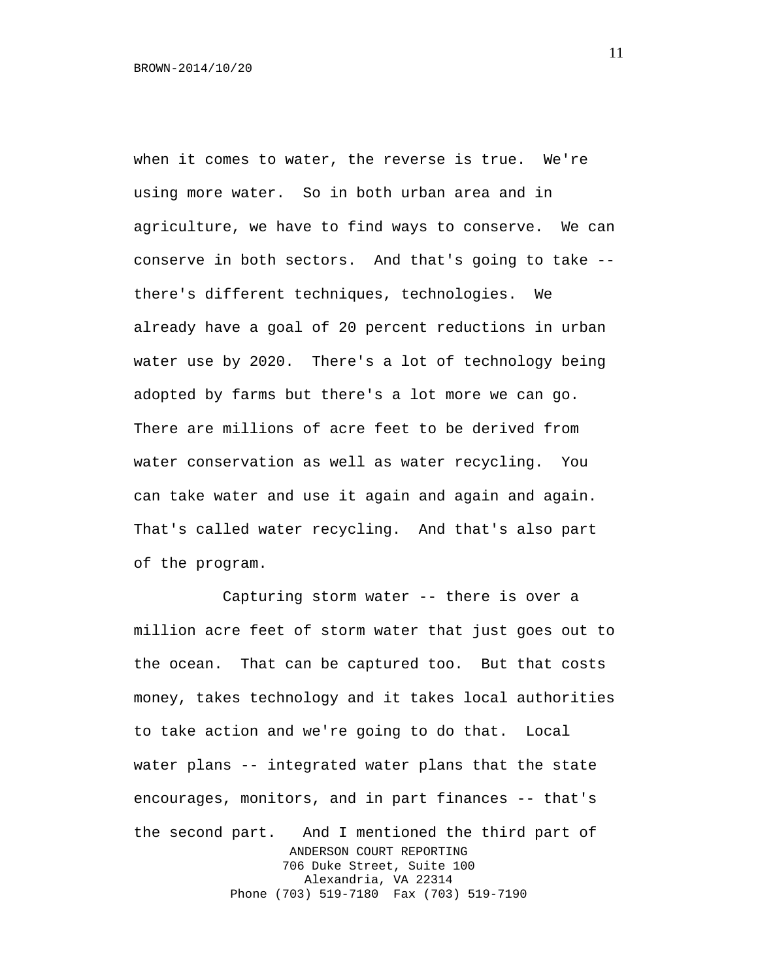when it comes to water, the reverse is true. We're using more water. So in both urban area and in agriculture, we have to find ways to conserve. We can conserve in both sectors. And that's going to take - there's different techniques, technologies. We already have a goal of 20 percent reductions in urban water use by 2020. There's a lot of technology being adopted by farms but there's a lot more we can go. There are millions of acre feet to be derived from water conservation as well as water recycling. You can take water and use it again and again and again. That's called water recycling. And that's also part of the program.

Capturing storm water -- there is over a million acre feet of storm water that just goes out to the ocean. That can be captured too. But that costs money, takes technology and it takes local authorities to take action and we're going to do that. Local water plans -- integrated water plans that the state encourages, monitors, and in part finances -- that's the second part. And I mentioned the third part of ANDERSON COURT REPORTING 706 Duke Street, Suite 100 Alexandria, VA 22314 Phone (703) 519-7180 Fax (703) 519-7190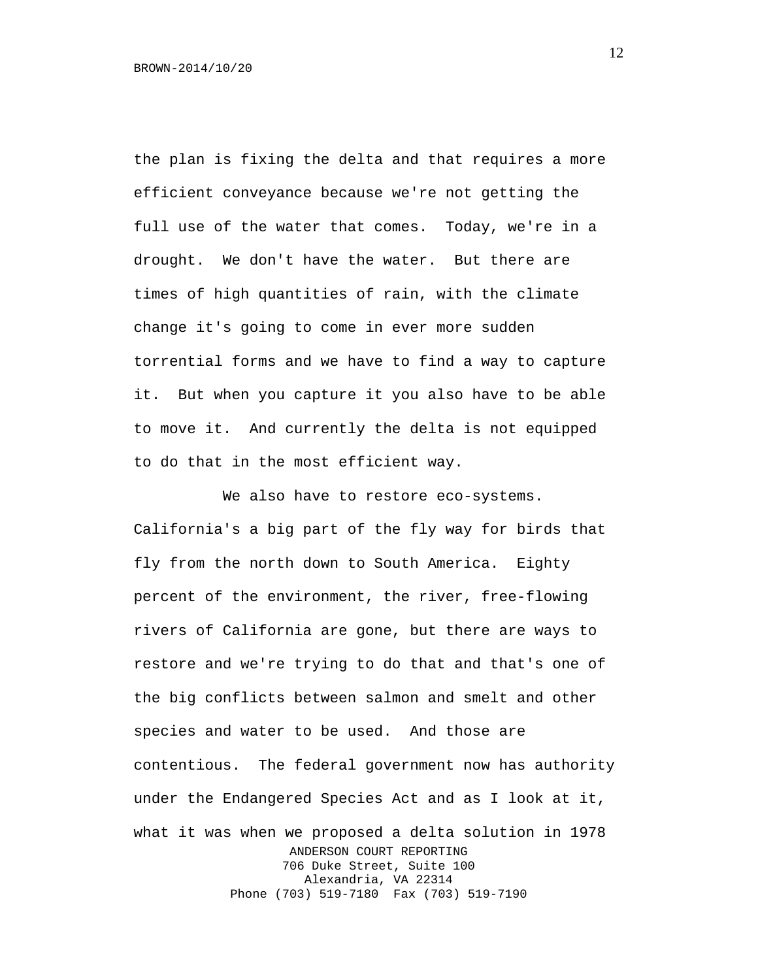the plan is fixing the delta and that requires a more efficient conveyance because we're not getting the full use of the water that comes. Today, we're in a drought. We don't have the water. But there are times of high quantities of rain, with the climate change it's going to come in ever more sudden torrential forms and we have to find a way to capture it. But when you capture it you also have to be able to move it. And currently the delta is not equipped to do that in the most efficient way.

We also have to restore eco-systems. California's a big part of the fly way for birds that fly from the north down to South America. Eighty percent of the environment, the river, free-flowing rivers of California are gone, but there are ways to restore and we're trying to do that and that's one of the big conflicts between salmon and smelt and other species and water to be used. And those are contentious. The federal government now has authority under the Endangered Species Act and as I look at it, what it was when we proposed a delta solution in 1978 ANDERSON COURT REPORTING 706 Duke Street, Suite 100 Alexandria, VA 22314 Phone (703) 519-7180 Fax (703) 519-7190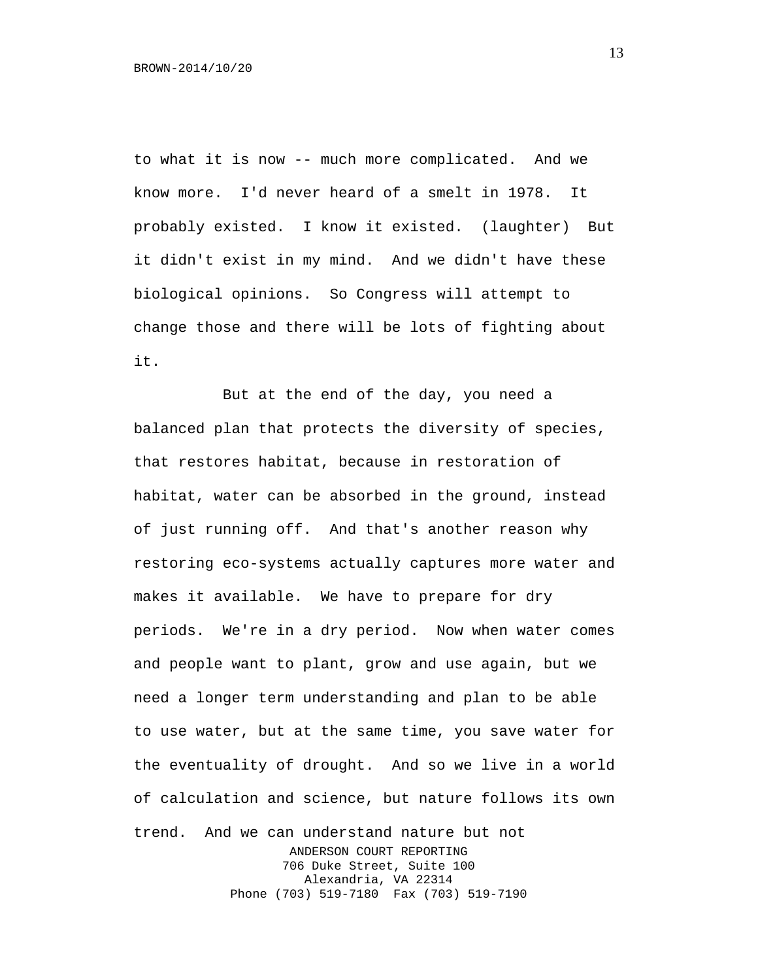to what it is now -- much more complicated. And we know more. I'd never heard of a smelt in 1978. It probably existed. I know it existed. (laughter) But it didn't exist in my mind. And we didn't have these biological opinions. So Congress will attempt to change those and there will be lots of fighting about it.

But at the end of the day, you need a balanced plan that protects the diversity of species, that restores habitat, because in restoration of habitat, water can be absorbed in the ground, instead of just running off. And that's another reason why restoring eco-systems actually captures more water and makes it available. We have to prepare for dry periods. We're in a dry period. Now when water comes and people want to plant, grow and use again, but we need a longer term understanding and plan to be able to use water, but at the same time, you save water for the eventuality of drought. And so we live in a world of calculation and science, but nature follows its own trend. And we can understand nature but not ANDERSON COURT REPORTING 706 Duke Street, Suite 100 Alexandria, VA 22314 Phone (703) 519-7180 Fax (703) 519-7190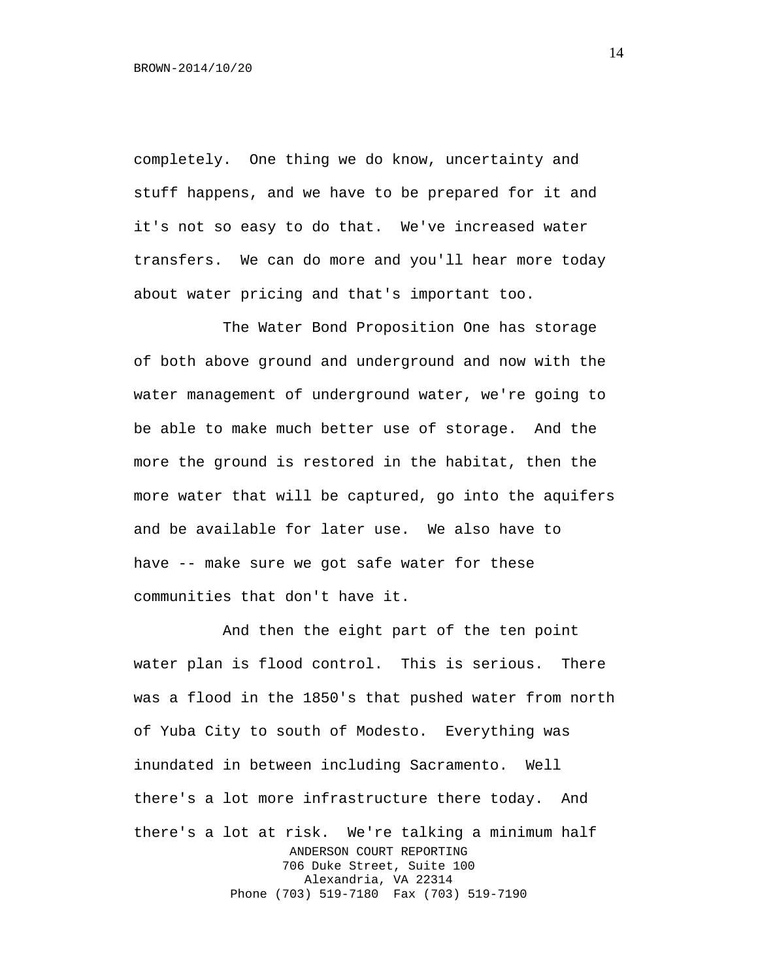completely. One thing we do know, uncertainty and stuff happens, and we have to be prepared for it and it's not so easy to do that. We've increased water transfers. We can do more and you'll hear more today about water pricing and that's important too.

The Water Bond Proposition One has storage of both above ground and underground and now with the water management of underground water, we're going to be able to make much better use of storage. And the more the ground is restored in the habitat, then the more water that will be captured, go into the aquifers and be available for later use. We also have to have -- make sure we got safe water for these communities that don't have it.

And then the eight part of the ten point water plan is flood control. This is serious. There was a flood in the 1850's that pushed water from north of Yuba City to south of Modesto. Everything was inundated in between including Sacramento. Well there's a lot more infrastructure there today. And there's a lot at risk. We're talking a minimum half ANDERSON COURT REPORTING 706 Duke Street, Suite 100 Alexandria, VA 22314 Phone (703) 519-7180 Fax (703) 519-7190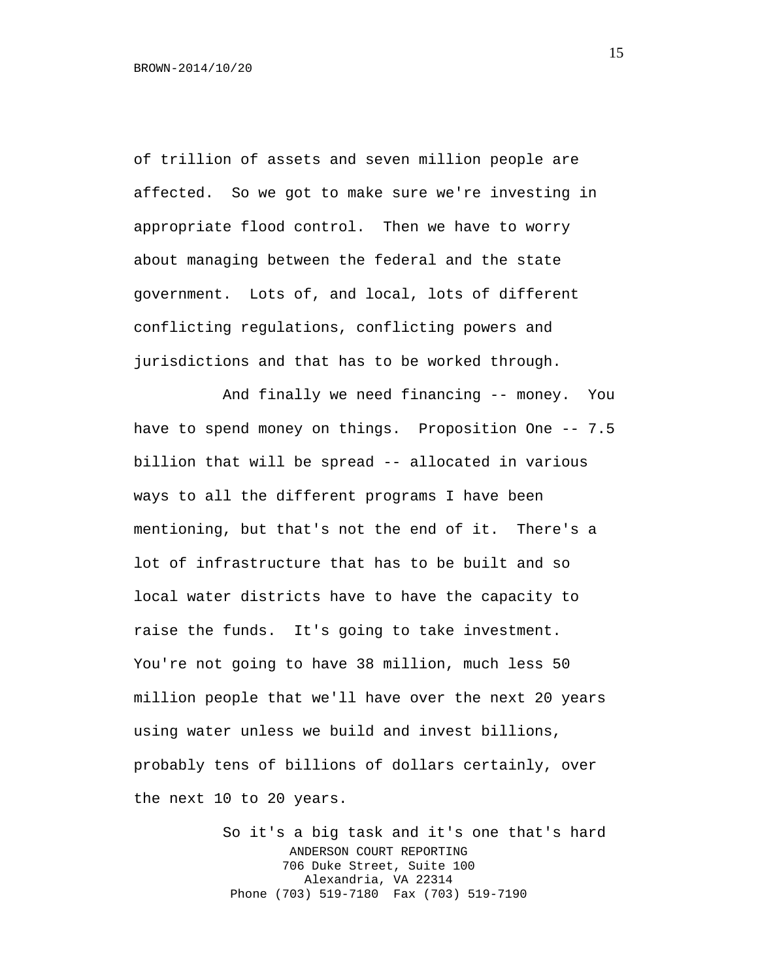of trillion of assets and seven million people are affected. So we got to make sure we're investing in appropriate flood control. Then we have to worry about managing between the federal and the state government. Lots of, and local, lots of different conflicting regulations, conflicting powers and jurisdictions and that has to be worked through.

And finally we need financing -- money. You have to spend money on things. Proposition One -- 7.5 billion that will be spread -- allocated in various ways to all the different programs I have been mentioning, but that's not the end of it. There's a lot of infrastructure that has to be built and so local water districts have to have the capacity to raise the funds. It's going to take investment. You're not going to have 38 million, much less 50 million people that we'll have over the next 20 years using water unless we build and invest billions, probably tens of billions of dollars certainly, over the next 10 to 20 years.

> So it's a big task and it's one that's hard ANDERSON COURT REPORTING 706 Duke Street, Suite 100 Alexandria, VA 22314 Phone (703) 519-7180 Fax (703) 519-7190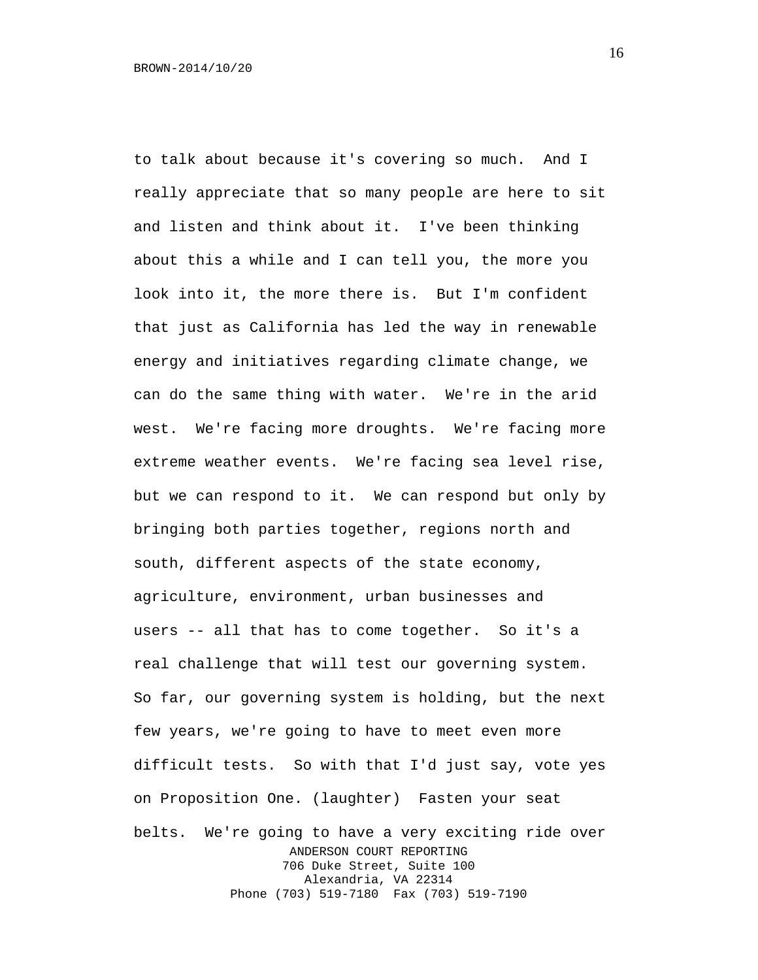to talk about because it's covering so much. And I really appreciate that so many people are here to sit and listen and think about it. I've been thinking about this a while and I can tell you, the more you look into it, the more there is. But I'm confident that just as California has led the way in renewable energy and initiatives regarding climate change, we can do the same thing with water. We're in the arid west. We're facing more droughts. We're facing more extreme weather events. We're facing sea level rise, but we can respond to it. We can respond but only by bringing both parties together, regions north and south, different aspects of the state economy, agriculture, environment, urban businesses and users -- all that has to come together. So it's a real challenge that will test our governing system. So far, our governing system is holding, but the next few years, we're going to have to meet even more difficult tests. So with that I'd just say, vote yes on Proposition One. (laughter) Fasten your seat belts. We're going to have a very exciting ride over ANDERSON COURT REPORTING 706 Duke Street, Suite 100 Alexandria, VA 22314 Phone (703) 519-7180 Fax (703) 519-7190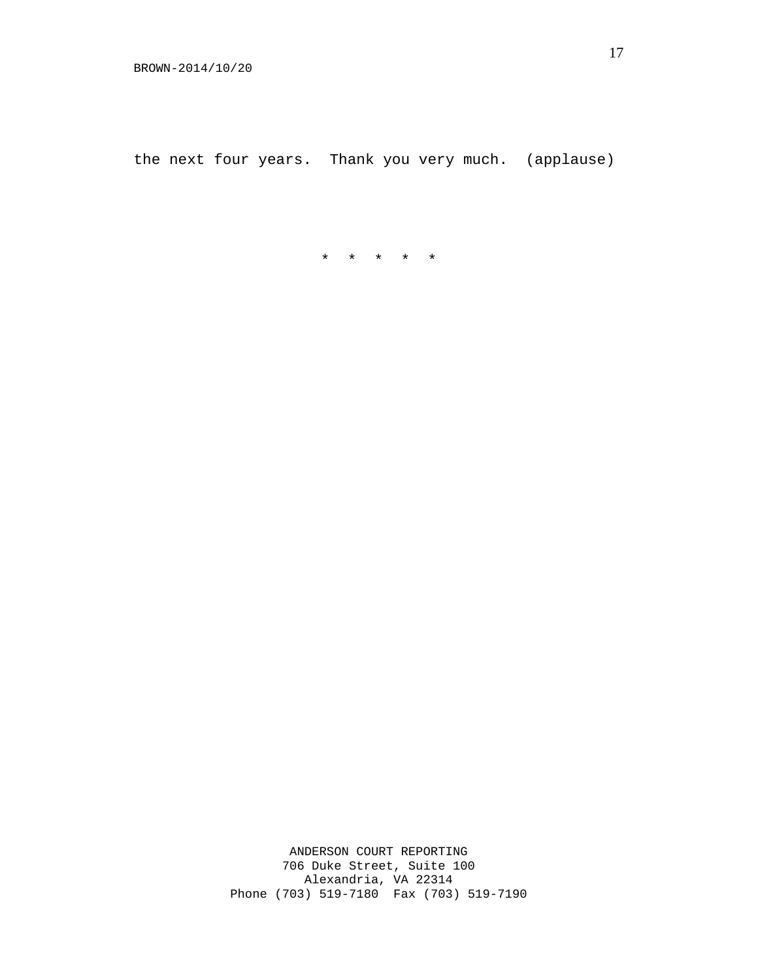the next four years. Thank you very much. (applause)

\* \* \* \* \*

ANDERSON COURT REPORTING 706 Duke Street, Suite 100 Alexandria, VA 22314 Phone (703) 519-7180 Fax (703) 519-7190